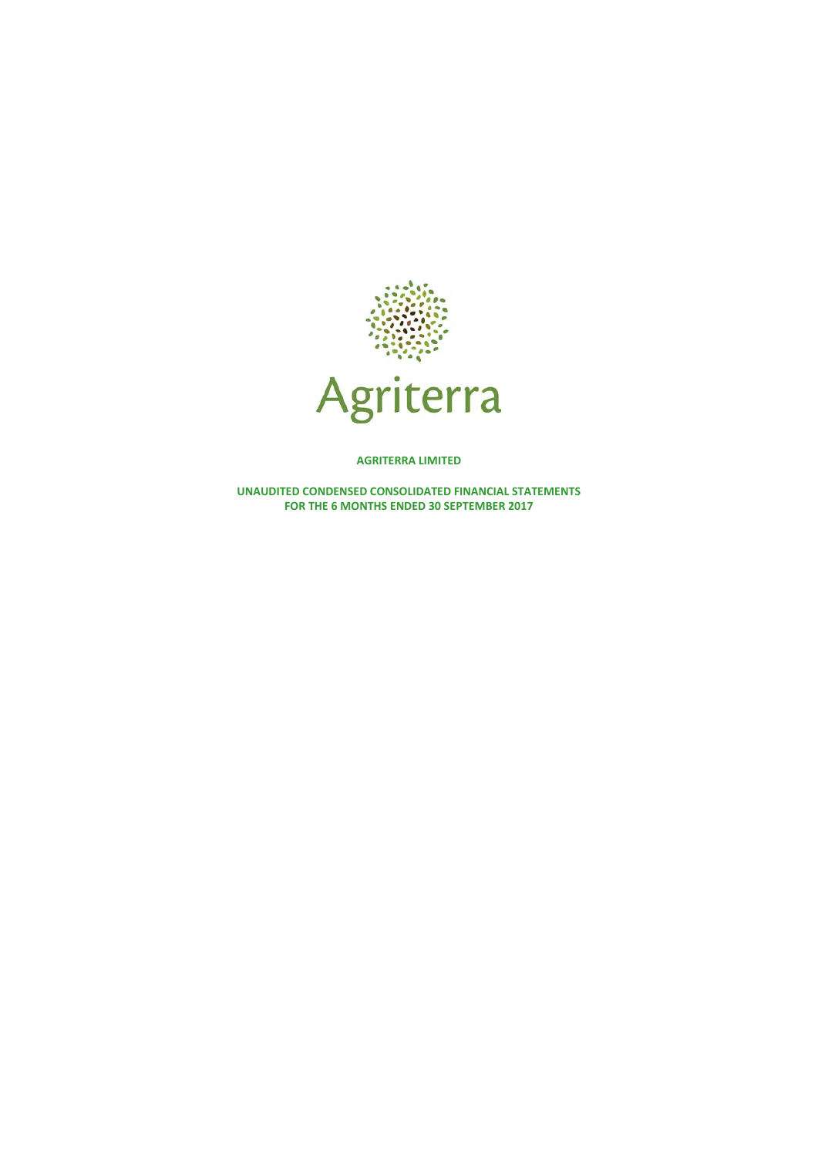

**AGRITERRA LIMITED**

**UNAUDITED CONDENSED CONSOLIDATED FINANCIAL STATEMENTS FOR THE 6 MONTHS ENDED 30 SEPTEMBER 2017**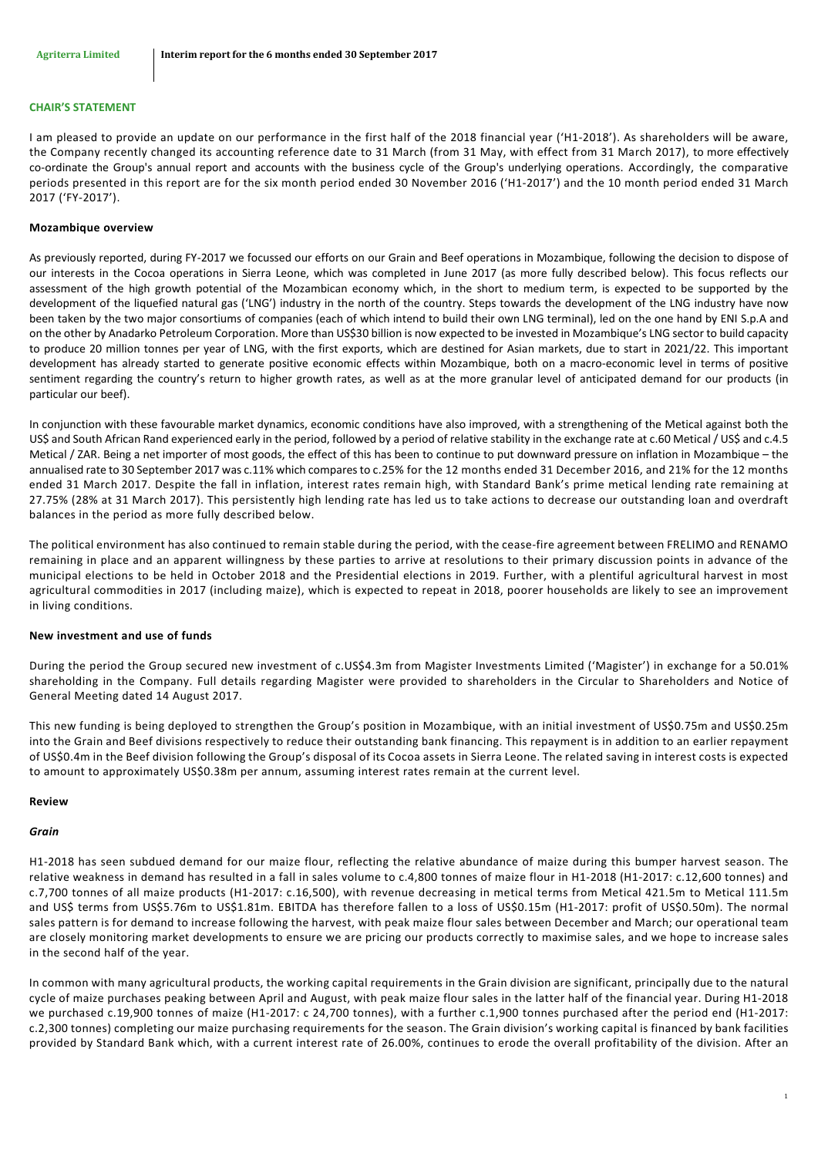#### **CHAIR'S STATEMENT**

I am pleased to provide an update on our performance in the first half of the 2018 financial year ('H1-2018'). As shareholders will be aware, the Company recently changed its accounting reference date to 31 March (from 31 May, with effect from 31 March 2017), to more effectively co-ordinate the Group's annual report and accounts with the business cycle of the Group's underlying operations. Accordingly, the comparative periods presented in this report are for the six month period ended 30 November 2016 ('H1-2017') and the 10 month period ended 31 March 2017 ('FY-2017').

#### **Mozambique overview**

As previously reported, during FY-2017 we focussed our efforts on our Grain and Beef operations in Mozambique, following the decision to dispose of our interests in the Cocoa operations in Sierra Leone, which was completed in June 2017 (as more fully described below). This focus reflects our assessment of the high growth potential of the Mozambican economy which, in the short to medium term, is expected to be supported by the development of the liquefied natural gas ('LNG') industry in the north of the country. Steps towards the development of the LNG industry have now been taken by the two major consortiums of companies (each of which intend to build their own LNG terminal), led on the one hand by ENI S.p.A and on the other by Anadarko Petroleum Corporation. More than US\$30 billion is now expected to be invested in Mozambique's LNG sector to build capacity to produce 20 million tonnes per year of LNG, with the first exports, which are destined for Asian markets, due to start in 2021/22. This important development has already started to generate positive economic effects within Mozambique, both on a macro-economic level in terms of positive sentiment regarding the country's return to higher growth rates, as well as at the more granular level of anticipated demand for our products (in particular our beef).

In conjunction with these favourable market dynamics, economic conditions have also improved, with a strengthening of the Metical against both the US\$ and South African Rand experienced early in the period, followed by a period of relative stability in the exchange rate at c.60 Metical / US\$ and c.4.5 Metical / ZAR. Being a net importer of most goods, the effect of this has been to continue to put downward pressure on inflation in Mozambique – the annualised rate to 30 September 2017 was c.11% which compares to c.25% for the 12 months ended 31 December 2016, and 21% for the 12 months ended 31 March 2017. Despite the fall in inflation, interest rates remain high, with Standard Bank's prime metical lending rate remaining at 27.75% (28% at 31 March 2017). This persistently high lending rate has led us to take actions to decrease our outstanding loan and overdraft balances in the period as more fully described below.

The political environment has also continued to remain stable during the period, with the cease-fire agreement between FRELIMO and RENAMO remaining in place and an apparent willingness by these parties to arrive at resolutions to their primary discussion points in advance of the municipal elections to be held in October 2018 and the Presidential elections in 2019. Further, with a plentiful agricultural harvest in most agricultural commodities in 2017 (including maize), which is expected to repeat in 2018, poorer households are likely to see an improvement in living conditions.

#### **New investment and use of funds**

During the period the Group secured new investment of c.US\$4.3m from Magister Investments Limited ('Magister') in exchange for a 50.01% shareholding in the Company. Full details regarding Magister were provided to shareholders in the Circular to Shareholders and Notice of General Meeting dated 14 August 2017.

This new funding is being deployed to strengthen the Group's position in Mozambique, with an initial investment of US\$0.75m and US\$0.25m into the Grain and Beef divisions respectively to reduce their outstanding bank financing. This repayment is in addition to an earlier repayment of US\$0.4m in the Beef division following the Group's disposal of its Cocoa assets in Sierra Leone. The related saving in interest costs is expected to amount to approximately US\$0.38m per annum, assuming interest rates remain at the current level.

#### **Review**

#### *Grain*

H1-2018 has seen subdued demand for our maize flour, reflecting the relative abundance of maize during this bumper harvest season. The relative weakness in demand has resulted in a fall in sales volume to c.4,800 tonnes of maize flour in H1-2018 (H1-2017: c.12,600 tonnes) and c.7,700 tonnes of all maize products (H1-2017: c.16,500), with revenue decreasing in metical terms from Metical 421.5m to Metical 111.5m and US\$ terms from US\$5.76m to US\$1.81m. EBITDA has therefore fallen to a loss of US\$0.15m (H1-2017: profit of US\$0.50m). The normal sales pattern is for demand to increase following the harvest, with peak maize flour sales between December and March; our operational team are closely monitoring market developments to ensure we are pricing our products correctly to maximise sales, and we hope to increase sales in the second half of the year.

In common with many agricultural products, the working capital requirements in the Grain division are significant, principally due to the natural cycle of maize purchases peaking between April and August, with peak maize flour sales in the latter half of the financial year. During H1-2018 we purchased c.19,900 tonnes of maize (H1-2017: c 24,700 tonnes), with a further c.1,900 tonnes purchased after the period end (H1-2017: c.2,300 tonnes) completing our maize purchasing requirements for the season. The Grain division's working capital is financed by bank facilities provided by Standard Bank which, with a current interest rate of 26.00%, continues to erode the overall profitability of the division. After an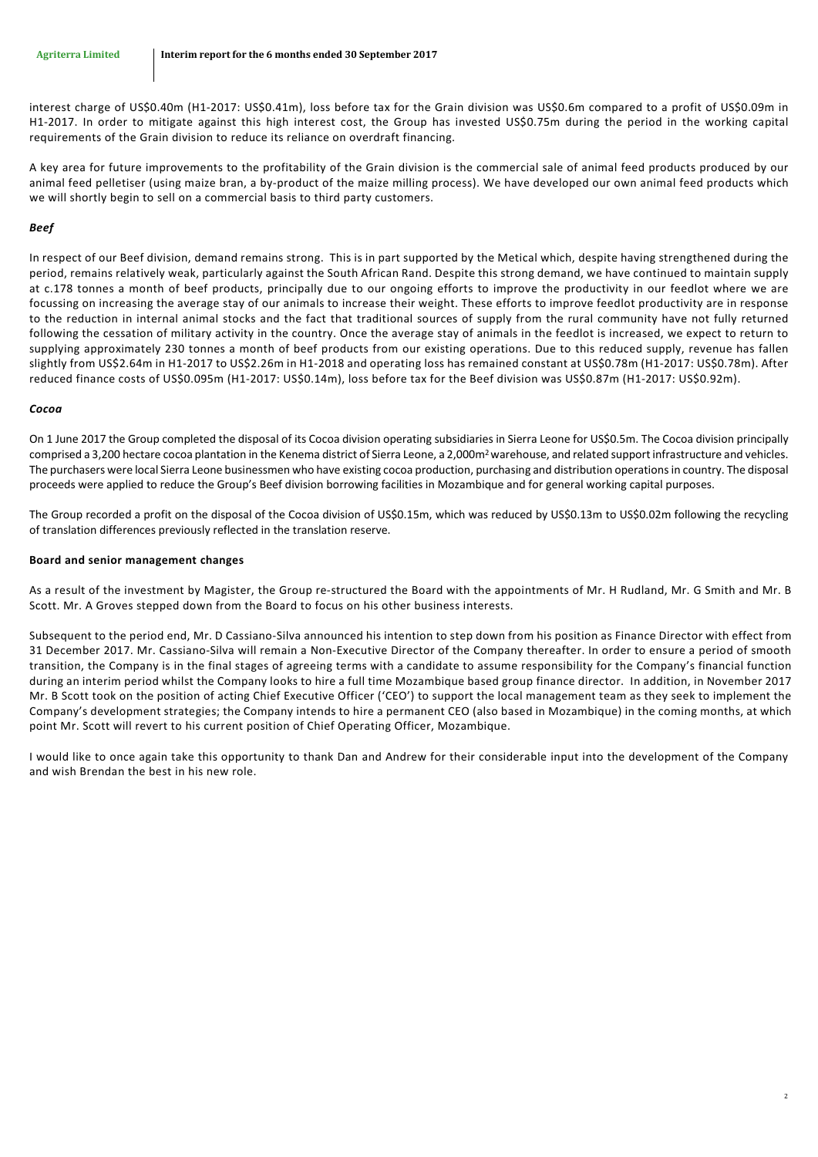interest charge of US\$0.40m (H1-2017: US\$0.41m), loss before tax for the Grain division was US\$0.6m compared to a profit of US\$0.09m in H1-2017. In order to mitigate against this high interest cost, the Group has invested US\$0.75m during the period in the working capital requirements of the Grain division to reduce its reliance on overdraft financing.

A key area for future improvements to the profitability of the Grain division is the commercial sale of animal feed products produced by our animal feed pelletiser (using maize bran, a by-product of the maize milling process). We have developed our own animal feed products which we will shortly begin to sell on a commercial basis to third party customers.

## *Beef*

In respect of our Beef division, demand remains strong. This is in part supported by the Metical which, despite having strengthened during the period, remains relatively weak, particularly against the South African Rand. Despite this strong demand, we have continued to maintain supply at c.178 tonnes a month of beef products, principally due to our ongoing efforts to improve the productivity in our feedlot where we are focussing on increasing the average stay of our animals to increase their weight. These efforts to improve feedlot productivity are in response to the reduction in internal animal stocks and the fact that traditional sources of supply from the rural community have not fully returned following the cessation of military activity in the country. Once the average stay of animals in the feedlot is increased, we expect to return to supplying approximately 230 tonnes a month of beef products from our existing operations. Due to this reduced supply, revenue has fallen slightly from US\$2.64m in H1-2017 to US\$2.26m in H1-2018 and operating loss has remained constant at US\$0.78m (H1-2017: US\$0.78m). After reduced finance costs of US\$0.095m (H1-2017: US\$0.14m), loss before tax for the Beef division was US\$0.87m (H1-2017: US\$0.92m).

## *Cocoa*

On 1 June 2017 the Group completed the disposal of its Cocoa division operating subsidiaries in Sierra Leone for US\$0.5m. The Cocoa division principally comprised a 3,200 hectare cocoa plantation in the Kenema district of Sierra Leone, a 2,000m<sup>2</sup> warehouse, and related support infrastructure and vehicles. The purchasers were local Sierra Leone businessmen who have existing cocoa production, purchasing and distribution operationsin country. The disposal proceeds were applied to reduce the Group's Beef division borrowing facilities in Mozambique and for general working capital purposes.

The Group recorded a profit on the disposal of the Cocoa division of US\$0.15m, which was reduced by US\$0.13m to US\$0.02m following the recycling of translation differences previously reflected in the translation reserve.

## **Board and senior management changes**

As a result of the investment by Magister, the Group re-structured the Board with the appointments of Mr. H Rudland, Mr. G Smith and Mr. B Scott. Mr. A Groves stepped down from the Board to focus on his other business interests.

Subsequent to the period end, Mr. D Cassiano-Silva announced his intention to step down from his position as Finance Director with effect from 31 December 2017. Mr. Cassiano-Silva will remain a Non-Executive Director of the Company thereafter. In order to ensure a period of smooth transition, the Company is in the final stages of agreeing terms with a candidate to assume responsibility for the Company's financial function during an interim period whilst the Company looks to hire a full time Mozambique based group finance director. In addition, in November 2017 Mr. B Scott took on the position of acting Chief Executive Officer ('CEO') to support the local management team as they seek to implement the Company's development strategies; the Company intends to hire a permanent CEO (also based in Mozambique) in the coming months, at which point Mr. Scott will revert to his current position of Chief Operating Officer, Mozambique.

I would like to once again take this opportunity to thank Dan and Andrew for their considerable input into the development of the Company and wish Brendan the best in his new role.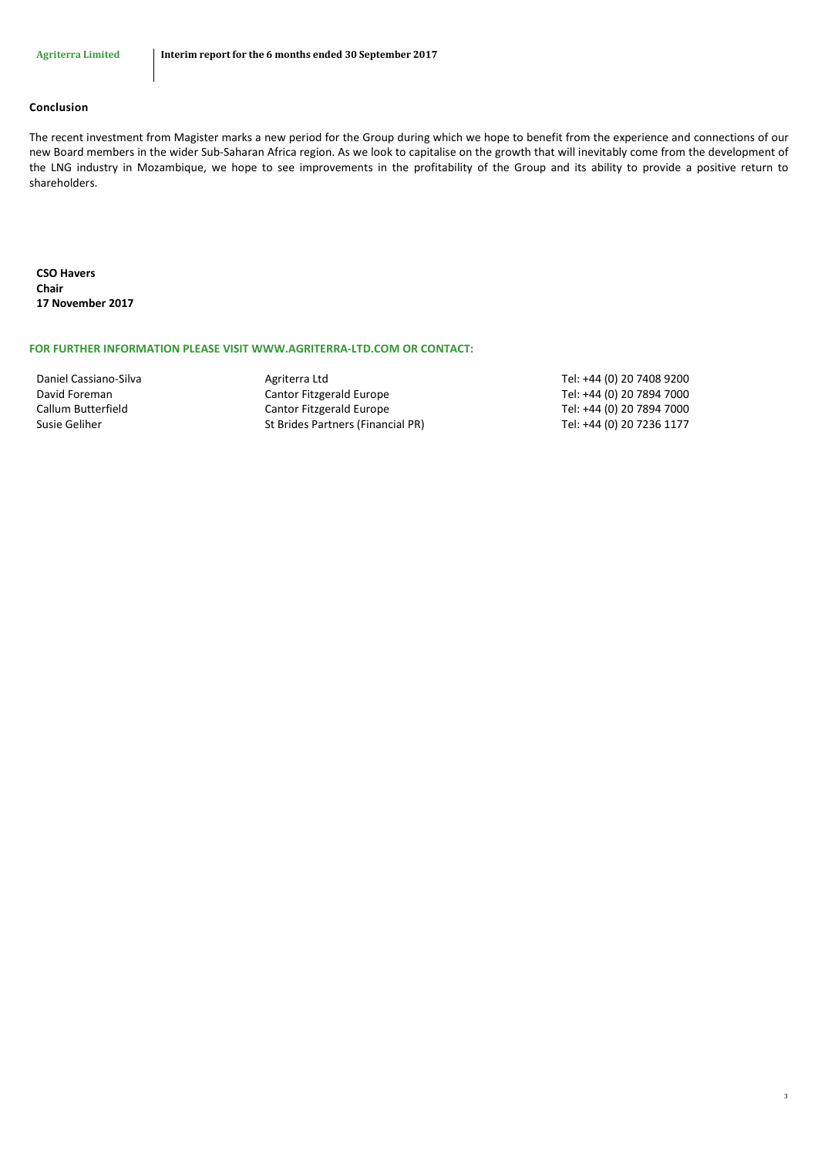# **Conclusion**

The recent investment from Magister marks a new period for the Group during which we hope to benefit from the experience and connections of our new Board members in the wider Sub-Saharan Africa region. As we look to capitalise on the growth that will inevitably come from the development of the LNG industry in Mozambique, we hope to see improvements in the profitability of the Group and its ability to provide a positive return to shareholders.

**CSO Havers Chair 17 November 2017**

### **FOR FURTHER INFORMATION PLEASE VISIT WWW.AGRITERRA-LTD.COM OR CONTACT:**

David Foreman Cantor Fitzgerald Europe Tel: +44 (0) 20 7894 7000 Callum Butterfield Cantor Fitzgerald Europe Tel: +44 (0) 20 7894 7000 Susie Geliher St Brides Partners (Financial PR) Tel: +44 (0) 20 7236 1177

Daniel Cassiano-Silva **Agriterra Ltd** Agriterra Ltd Tel: +44 (0) 20 7408 9200

3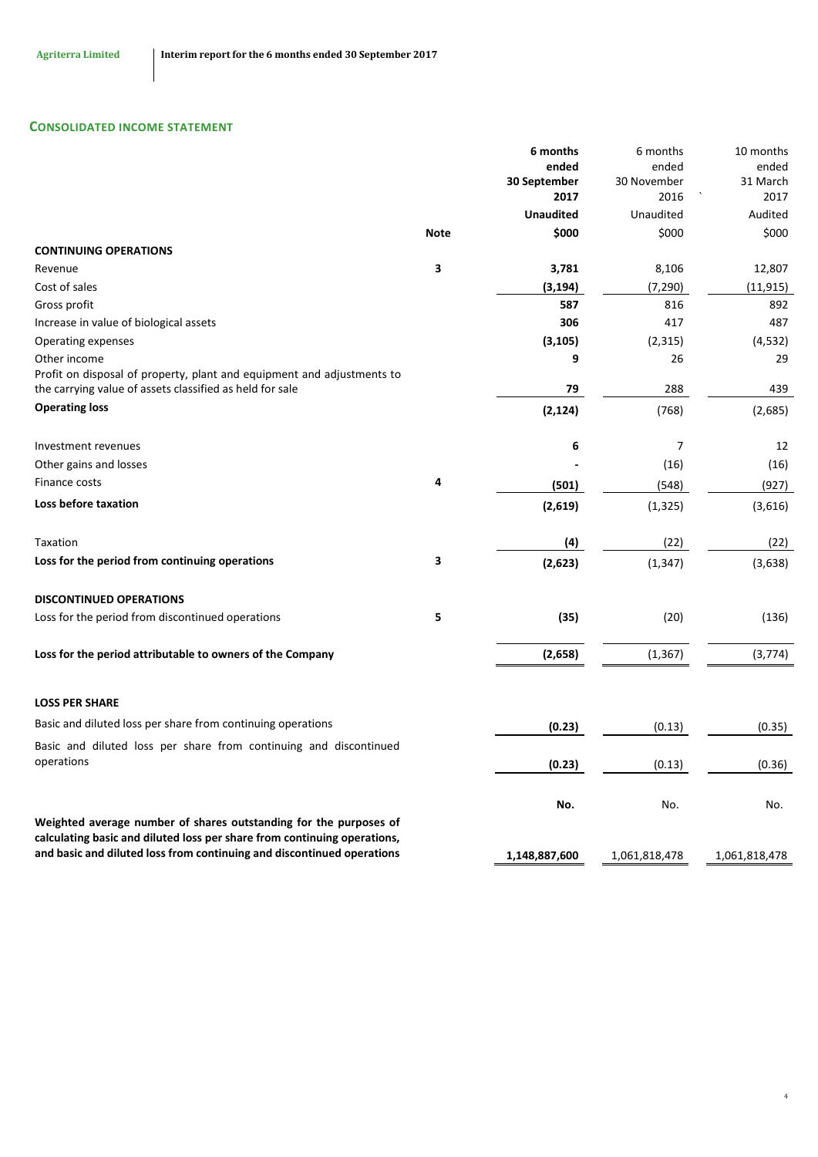# **CONSOLIDATED INCOME STATEMENT**

|                                                                                                                                                    |             | 6 months                 | 6 months          | 10 months        |
|----------------------------------------------------------------------------------------------------------------------------------------------------|-------------|--------------------------|-------------------|------------------|
|                                                                                                                                                    |             | ended                    | ended             | ended            |
|                                                                                                                                                    |             | 30 September             | 30 November       | 31 March         |
|                                                                                                                                                    |             | 2017<br><b>Unaudited</b> | 2016<br>Unaudited | 2017<br>Audited  |
|                                                                                                                                                    | <b>Note</b> | \$000                    | \$000             | \$000            |
| <b>CONTINUING OPERATIONS</b>                                                                                                                       |             |                          |                   |                  |
|                                                                                                                                                    | 3           |                          |                   |                  |
| Revenue<br>Cost of sales                                                                                                                           |             | 3,781<br>(3, 194)        | 8,106<br>(7, 290) | 12,807           |
|                                                                                                                                                    |             | 587                      | 816               | (11, 915)<br>892 |
| Gross profit                                                                                                                                       |             | 306                      |                   |                  |
| Increase in value of biological assets                                                                                                             |             |                          | 417               | 487              |
| Operating expenses                                                                                                                                 |             | (3, 105)                 | (2, 315)          | (4, 532)         |
| Other income<br>Profit on disposal of property, plant and equipment and adjustments to                                                             |             | 9                        | 26                | 29               |
| the carrying value of assets classified as held for sale                                                                                           |             | 79                       | 288               | 439              |
| <b>Operating loss</b>                                                                                                                              |             | (2, 124)                 | (768)             | (2,685)          |
| <b>Investment revenues</b>                                                                                                                         |             | 6                        | $\overline{7}$    | 12               |
|                                                                                                                                                    |             |                          | (16)              |                  |
| Other gains and losses<br>Finance costs                                                                                                            | 4           |                          |                   | (16)             |
|                                                                                                                                                    |             | (501)                    | (548)             | (927)            |
| <b>Loss before taxation</b>                                                                                                                        |             | (2,619)                  | (1, 325)          | (3,616)          |
| Taxation                                                                                                                                           |             | (4)                      | (22)              | (22)             |
| Loss for the period from continuing operations                                                                                                     | 3           | (2,623)                  | (1, 347)          | (3,638)          |
| <b>DISCONTINUED OPERATIONS</b>                                                                                                                     |             |                          |                   |                  |
| Loss for the period from discontinued operations                                                                                                   | 5           | (35)                     | (20)              | (136)            |
| Loss for the period attributable to owners of the Company                                                                                          |             | (2,658)                  | (1, 367)          | (3, 774)         |
|                                                                                                                                                    |             |                          |                   |                  |
| <b>LOSS PER SHARE</b>                                                                                                                              |             |                          |                   |                  |
| Basic and diluted loss per share from continuing operations                                                                                        |             | (0.23)                   | (0.13)            | (0.35)           |
| Basic and diluted loss per share from continuing and discontinued                                                                                  |             |                          |                   |                  |
| operations                                                                                                                                         |             | (0.23)                   | (0.13)            | (0.36)           |
|                                                                                                                                                    |             | No.                      | No.               | No.              |
| Weighted average number of shares outstanding for the purposes of                                                                                  |             |                          |                   |                  |
| calculating basic and diluted loss per share from continuing operations,<br>and basic and diluted loss from continuing and discontinued operations |             |                          |                   |                  |
|                                                                                                                                                    |             | 1,148,887,600            | 1,061,818,478     | 1,061,818,478    |

4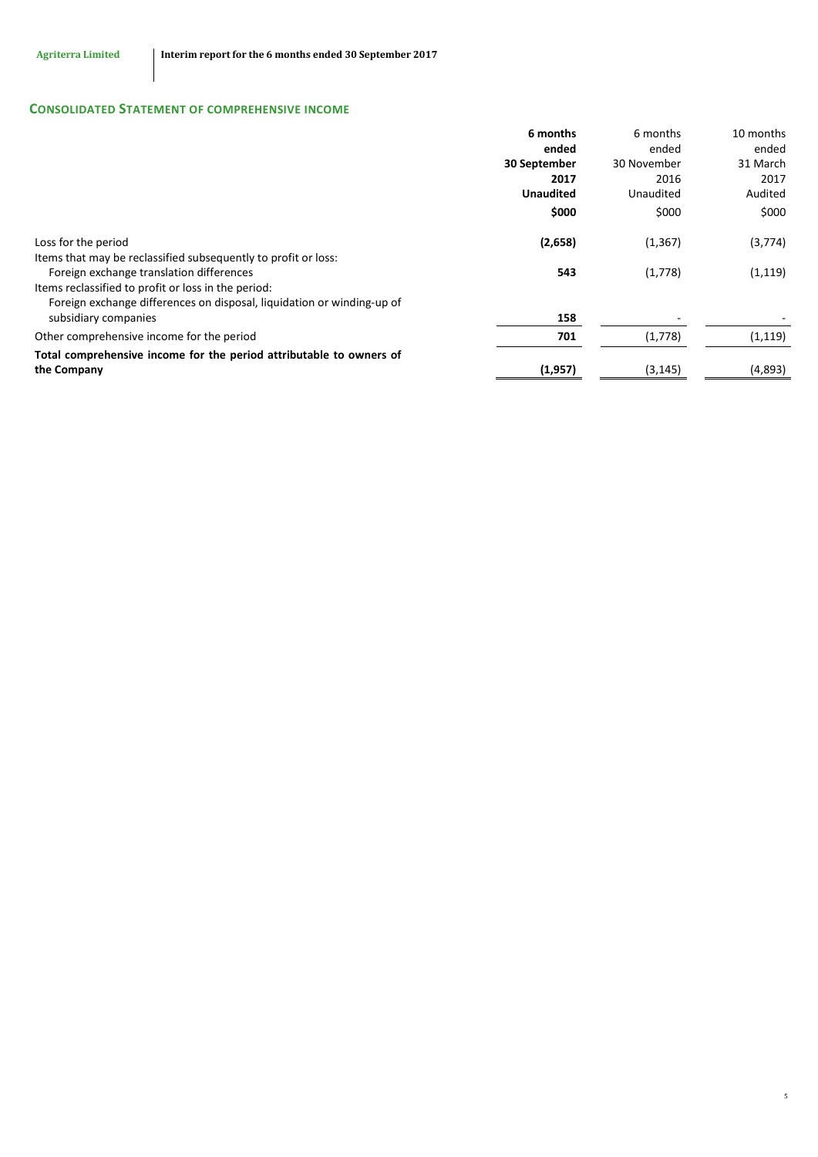# **CONSOLIDATED STATEMENT OF COMPREHENSIVE INCOME**

|                                                                        | 6 months         | 6 months    | 10 months |
|------------------------------------------------------------------------|------------------|-------------|-----------|
|                                                                        | ended            | ended       | ended     |
|                                                                        | 30 September     | 30 November | 31 March  |
|                                                                        | 2017             | 2016        | 2017      |
|                                                                        | <b>Unaudited</b> | Unaudited   | Audited   |
|                                                                        | \$000            | \$000       | \$000     |
| Loss for the period                                                    | (2,658)          | (1, 367)    | (3,774)   |
| Items that may be reclassified subsequently to profit or loss:         |                  |             |           |
| Foreign exchange translation differences                               | 543              | (1,778)     | (1, 119)  |
| Items reclassified to profit or loss in the period:                    |                  |             |           |
| Foreign exchange differences on disposal, liquidation or winding-up of |                  |             |           |
| subsidiary companies                                                   | 158              |             |           |
| Other comprehensive income for the period                              | 701              | (1,778)     | (1, 119)  |
| Total comprehensive income for the period attributable to owners of    |                  |             |           |
| the Company                                                            | (1, 957)         | (3, 145)    | (4,893)   |

5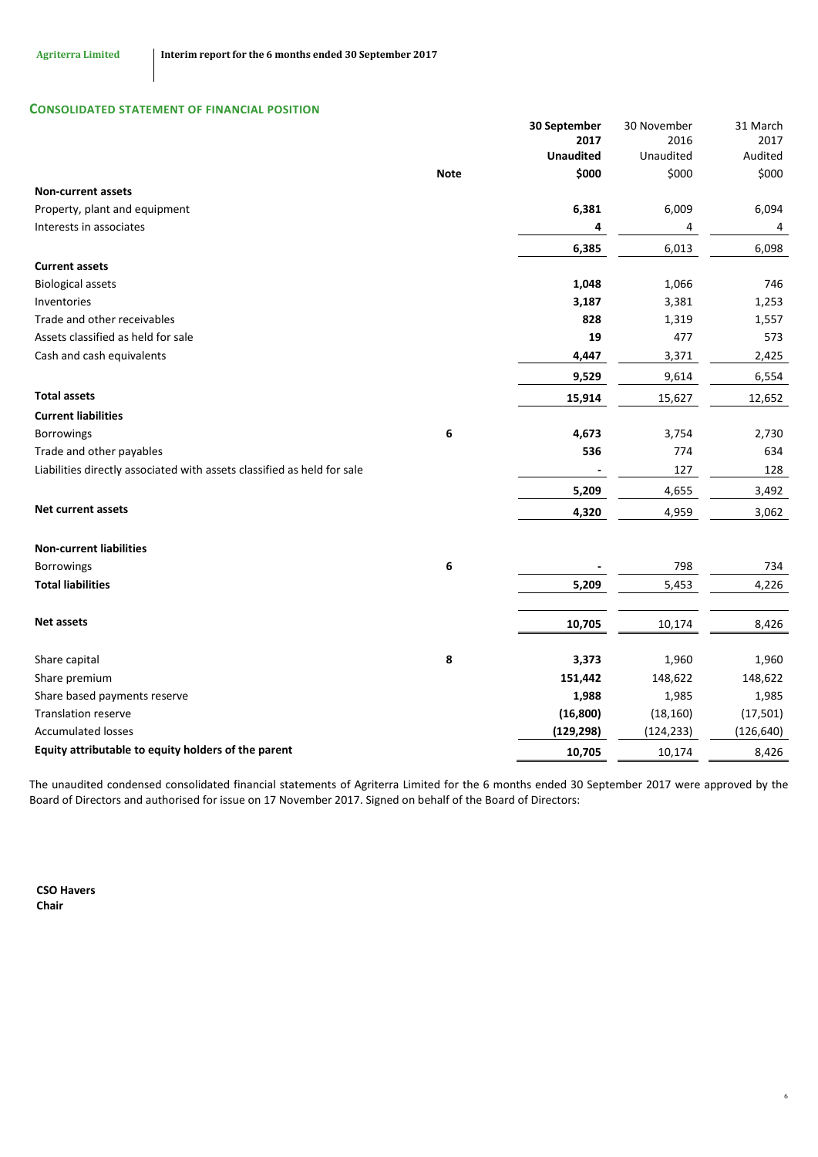# **CONSOLIDATED STATEMENT OF FINANCIAL POSITION**

|                                                                         |             | 30 September     | 30 November | 31 March   |
|-------------------------------------------------------------------------|-------------|------------------|-------------|------------|
|                                                                         |             | 2017             | 2016        | 2017       |
|                                                                         |             | <b>Unaudited</b> | Unaudited   | Audited    |
|                                                                         | <b>Note</b> | \$000            | \$000       | \$000      |
| <b>Non-current assets</b>                                               |             |                  |             |            |
| Property, plant and equipment                                           |             | 6,381            | 6,009       | 6,094      |
| Interests in associates                                                 |             | 4                | 4           | 4          |
|                                                                         |             | 6,385            | 6,013       | 6,098      |
| <b>Current assets</b>                                                   |             |                  |             |            |
| <b>Biological assets</b>                                                |             | 1,048            | 1,066       | 746        |
| Inventories                                                             |             | 3,187            | 3,381       | 1,253      |
| Trade and other receivables                                             |             | 828              | 1,319       | 1,557      |
| Assets classified as held for sale                                      |             | 19               | 477         | 573        |
| Cash and cash equivalents                                               |             | 4,447            | 3,371       | 2,425      |
|                                                                         |             | 9,529            | 9,614       | 6,554      |
| <b>Total assets</b>                                                     |             | 15,914           | 15,627      | 12,652     |
| <b>Current liabilities</b>                                              |             |                  |             |            |
| Borrowings                                                              | 6           | 4,673            | 3,754       | 2,730      |
| Trade and other payables                                                |             | 536              | 774         | 634        |
| Liabilities directly associated with assets classified as held for sale |             |                  | 127         | 128        |
|                                                                         |             | 5,209            | 4,655       | 3,492      |
| <b>Net current assets</b>                                               |             | 4,320            | 4,959       | 3,062      |
| <b>Non-current liabilities</b>                                          |             |                  |             |            |
| <b>Borrowings</b>                                                       | 6           |                  | 798         | 734        |
| <b>Total liabilities</b>                                                |             | 5,209            | 5,453       | 4,226      |
|                                                                         |             |                  |             |            |
| <b>Net assets</b>                                                       |             | 10,705           | 10,174      | 8,426      |
|                                                                         |             |                  |             |            |
| Share capital                                                           | 8           | 3,373            | 1,960       | 1,960      |
| Share premium                                                           |             | 151,442          | 148,622     | 148,622    |
| Share based payments reserve                                            |             | 1,988            | 1,985       | 1,985      |
| <b>Translation reserve</b>                                              |             | (16, 800)        | (18, 160)   | (17, 501)  |
| <b>Accumulated losses</b>                                               |             | (129, 298)       | (124, 233)  | (126, 640) |
| Equity attributable to equity holders of the parent                     |             | 10,705           | 10,174      | 8,426      |

The unaudited condensed consolidated financial statements of Agriterra Limited for the 6 months ended 30 September 2017 were approved by the Board of Directors and authorised for issue on 17 November 2017. Signed on behalf of the Board of Directors:

6

**CSO Havers Chair**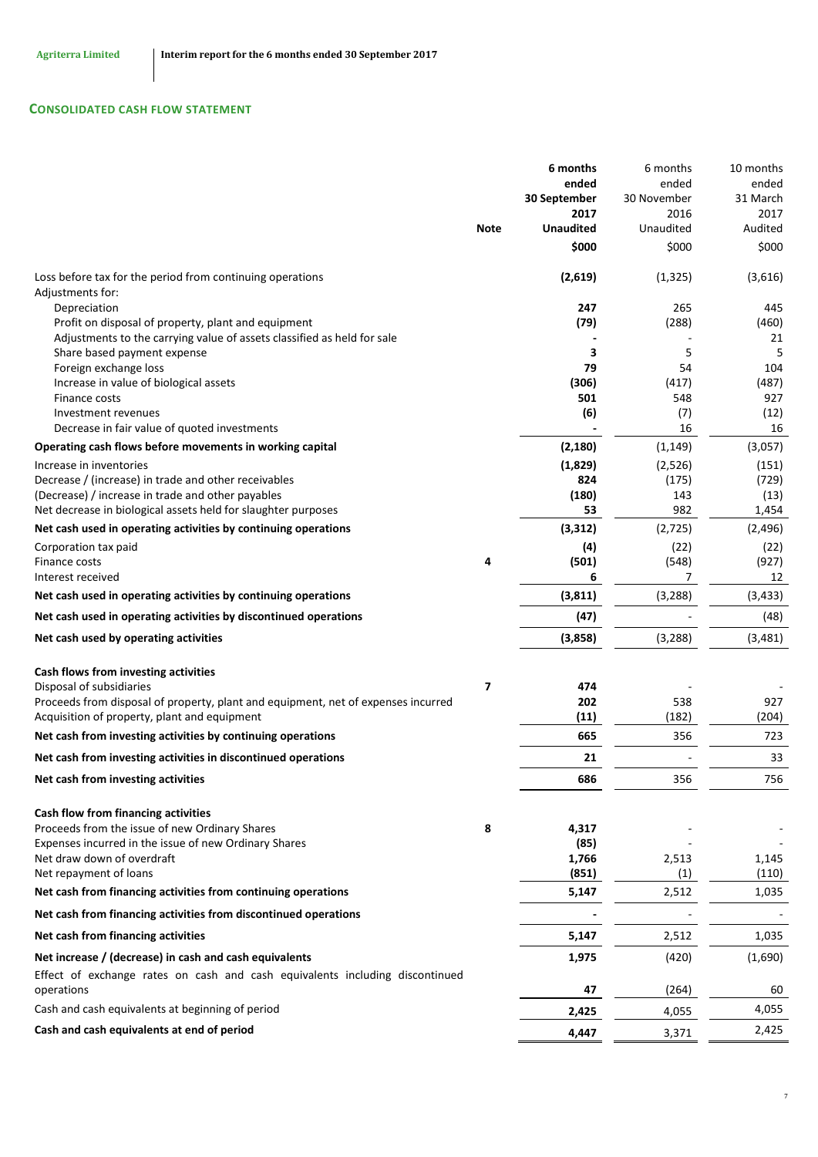# **CONSOLIDATED CASH FLOW STATEMENT**

|                                                                                                                                   |                | 6 months<br>ended<br>30 September | 6 months<br>ended<br>30 November | 10 months<br>ended<br>31 March |
|-----------------------------------------------------------------------------------------------------------------------------------|----------------|-----------------------------------|----------------------------------|--------------------------------|
|                                                                                                                                   |                | 2017                              | 2016                             | 2017                           |
|                                                                                                                                   | <b>Note</b>    | <b>Unaudited</b>                  | Unaudited                        | Audited                        |
|                                                                                                                                   |                | \$000                             | \$000                            | \$000                          |
| Loss before tax for the period from continuing operations<br>Adjustments for:                                                     |                | (2,619)                           | (1, 325)                         | (3,616)                        |
| Depreciation<br>Profit on disposal of property, plant and equipment                                                               |                | 247<br>(79)                       | 265<br>(288)                     | 445<br>(460)                   |
| Adjustments to the carrying value of assets classified as held for sale                                                           |                |                                   |                                  | 21                             |
| Share based payment expense                                                                                                       |                | 3<br>79                           | 5<br>54                          | 5<br>104                       |
| Foreign exchange loss<br>Increase in value of biological assets                                                                   |                | (306)                             | (417)                            | (487)                          |
| Finance costs                                                                                                                     |                | 501                               | 548                              | 927                            |
| Investment revenues                                                                                                               |                | (6)                               | (7)                              | (12)                           |
| Decrease in fair value of quoted investments                                                                                      |                |                                   | 16                               | 16                             |
| Operating cash flows before movements in working capital                                                                          |                | (2, 180)                          | (1, 149)                         | (3,057)                        |
| Increase in inventories                                                                                                           |                | (1,829)                           | (2,526)                          | (151)                          |
| Decrease / (increase) in trade and other receivables<br>(Decrease) / increase in trade and other payables                         |                | 824<br>(180)                      | (175)<br>143                     | (729)<br>(13)                  |
| Net decrease in biological assets held for slaughter purposes                                                                     |                | 53                                | 982                              | 1,454                          |
| Net cash used in operating activities by continuing operations                                                                    |                | (3, 312)                          | (2, 725)                         | (2, 496)                       |
| Corporation tax paid                                                                                                              |                | (4)                               | (22)                             | (22)                           |
| Finance costs                                                                                                                     | 4              | (501)                             | (548)                            | (927)                          |
| Interest received                                                                                                                 |                | 6                                 | 7                                | 12                             |
| Net cash used in operating activities by continuing operations                                                                    |                | (3, 811)                          | (3, 288)                         | (3, 433)                       |
| Net cash used in operating activities by discontinued operations                                                                  |                | (47)                              |                                  | (48)                           |
| Net cash used by operating activities                                                                                             |                | (3,858)                           | (3, 288)                         | (3,481)                        |
| Cash flows from investing activities                                                                                              |                |                                   |                                  |                                |
| Disposal of subsidiaries                                                                                                          | $\overline{ }$ | 474                               |                                  |                                |
| Proceeds from disposal of property, plant and equipment, net of expenses incurred<br>Acquisition of property, plant and equipment |                | 202<br>(11)                       | 538<br>(182)                     | 927<br>(204)                   |
| Net cash from investing activities by continuing operations                                                                       |                | 665                               | 356                              | 723                            |
| Net cash from investing activities in discontinued operations                                                                     |                | 21                                |                                  | 33                             |
| Net cash from investing activities                                                                                                |                | 686                               | 356                              | 756                            |
|                                                                                                                                   |                |                                   |                                  |                                |
| Cash flow from financing activities<br>Proceeds from the issue of new Ordinary Shares                                             | 8              | 4,317                             |                                  |                                |
| Expenses incurred in the issue of new Ordinary Shares                                                                             |                | (85)                              |                                  |                                |
| Net draw down of overdraft                                                                                                        |                | 1,766                             | 2,513                            | 1,145                          |
| Net repayment of loans                                                                                                            |                | (851)                             | (1)                              | (110)                          |
| Net cash from financing activities from continuing operations                                                                     |                | 5,147                             | 2,512                            | 1,035                          |
| Net cash from financing activities from discontinued operations                                                                   |                |                                   |                                  |                                |
| Net cash from financing activities                                                                                                |                | 5,147                             | 2,512                            | 1,035                          |
| Net increase / (decrease) in cash and cash equivalents                                                                            |                | 1,975                             | (420)                            | (1,690)                        |
| Effect of exchange rates on cash and cash equivalents including discontinued                                                      |                |                                   |                                  |                                |
| operations                                                                                                                        |                | 47                                | (264)                            | 60                             |
| Cash and cash equivalents at beginning of period                                                                                  |                | 2,425                             | 4,055                            | 4,055                          |
| Cash and cash equivalents at end of period                                                                                        |                | 4,447                             | 3,371                            | 2,425                          |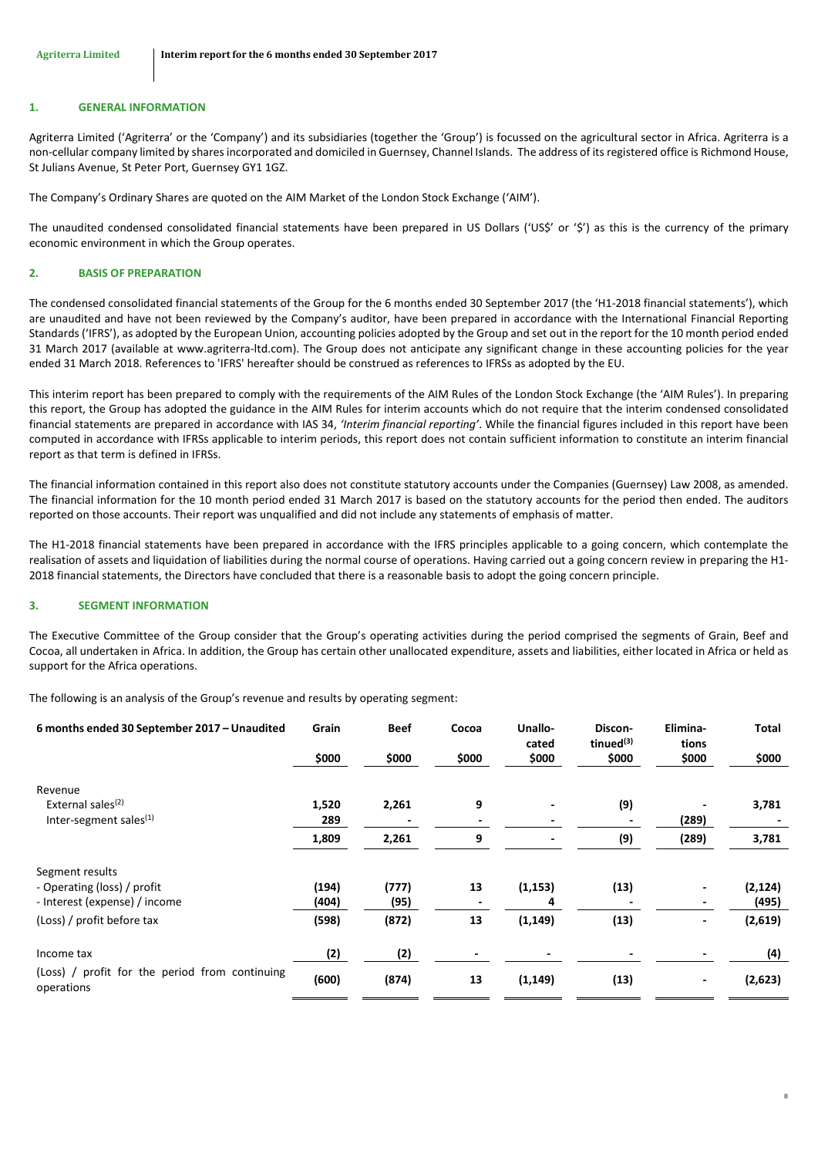#### **1. GENERAL INFORMATION**

Agriterra Limited ('Agriterra' or the 'Company') and its subsidiaries (together the 'Group') is focussed on the agricultural sector in Africa. Agriterra is a non-cellular company limited by shares incorporated and domiciled in Guernsey, Channel Islands. The address of its registered office is Richmond House, St Julians Avenue, St Peter Port, Guernsey GY1 1GZ.

The Company's Ordinary Shares are quoted on the AIM Market of the London Stock Exchange ('AIM').

The unaudited condensed consolidated financial statements have been prepared in US Dollars ('US\$' or '\$') as this is the currency of the primary economic environment in which the Group operates.

#### **2. BASIS OF PREPARATION**

The condensed consolidated financial statements of the Group for the 6 months ended 30 September 2017 (the 'H1-2018 financial statements'), which are unaudited and have not been reviewed by the Company's auditor, have been prepared in accordance with the International Financial Reporting Standards ('IFRS'), as adopted by the European Union, accounting policies adopted by the Group and set out in the report for the 10 month period ended 31 March 2017 (available at www.agriterra-ltd.com). The Group does not anticipate any significant change in these accounting policies for the year ended 31 March 2018. References to 'IFRS' hereafter should be construed as references to IFRSs as adopted by the EU.

This interim report has been prepared to comply with the requirements of the AIM Rules of the London Stock Exchange (the 'AIM Rules'). In preparing this report, the Group has adopted the guidance in the AIM Rules for interim accounts which do not require that the interim condensed consolidated financial statements are prepared in accordance with IAS 34, *'Interim financial reporting'*. While the financial figures included in this report have been computed in accordance with IFRSs applicable to interim periods, this report does not contain sufficient information to constitute an interim financial report as that term is defined in IFRSs.

The financial information contained in this report also does not constitute statutory accounts under the Companies (Guernsey) Law 2008, as amended. The financial information for the 10 month period ended 31 March 2017 is based on the statutory accounts for the period then ended. The auditors reported on those accounts. Their report was unqualified and did not include any statements of emphasis of matter.

The H1-2018 financial statements have been prepared in accordance with the IFRS principles applicable to a going concern, which contemplate the realisation of assets and liquidation of liabilities during the normal course of operations. Having carried out a going concern review in preparing the H1- 2018 financial statements, the Directors have concluded that there is a reasonable basis to adopt the going concern principle.

### <span id="page-8-0"></span>**3. SEGMENT INFORMATION**

The Executive Committee of the Group consider that the Group's operating activities during the period comprised the segments of Grain, Beef and Cocoa, all undertaken in Africa. In addition, the Group has certain other unallocated expenditure, assets and liabilities, either located in Africa or held as support for the Africa operations.

The following is an analysis of the Group's revenue and results by operating segment:

| 6 months ended 30 September 2017 - Unaudited                 | Grain | <b>Beef</b> | Cocoa | Unallo-<br>cated | Discon-<br>tinued $(3)$ | Elimina-<br>tions        | <b>Total</b> |
|--------------------------------------------------------------|-------|-------------|-------|------------------|-------------------------|--------------------------|--------------|
|                                                              | \$000 | \$000       | \$000 | \$000            | \$000                   | \$000                    | \$000        |
| Revenue                                                      |       |             |       |                  |                         |                          |              |
| External sales <sup>(2)</sup>                                | 1,520 | 2,261       | 9     |                  | (9)                     |                          | 3,781        |
| Inter-segment sales $(1)$                                    | 289   |             |       |                  |                         | (289)                    |              |
|                                                              | 1,809 | 2,261       | 9     |                  | (9)                     | (289)                    | 3,781        |
| Segment results                                              |       |             |       |                  |                         |                          |              |
| - Operating (loss) / profit                                  | (194) | (777)       | 13    | (1, 153)         | (13)                    |                          | (2, 124)     |
| - Interest (expense) / income                                | (404) | (95)        |       | 4                |                         |                          | (495)        |
| (Loss) / profit before tax                                   | (598) | (872)       | 13    | (1, 149)         | (13)                    | $\blacksquare$           | (2,619)      |
| Income tax                                                   | (2)   | (2)         |       |                  |                         |                          | (4)          |
| (Loss) / profit for the period from continuing<br>operations | (600) | (874)       | 13    | (1, 149)         | (13)                    | $\overline{\phantom{a}}$ | (2,623)      |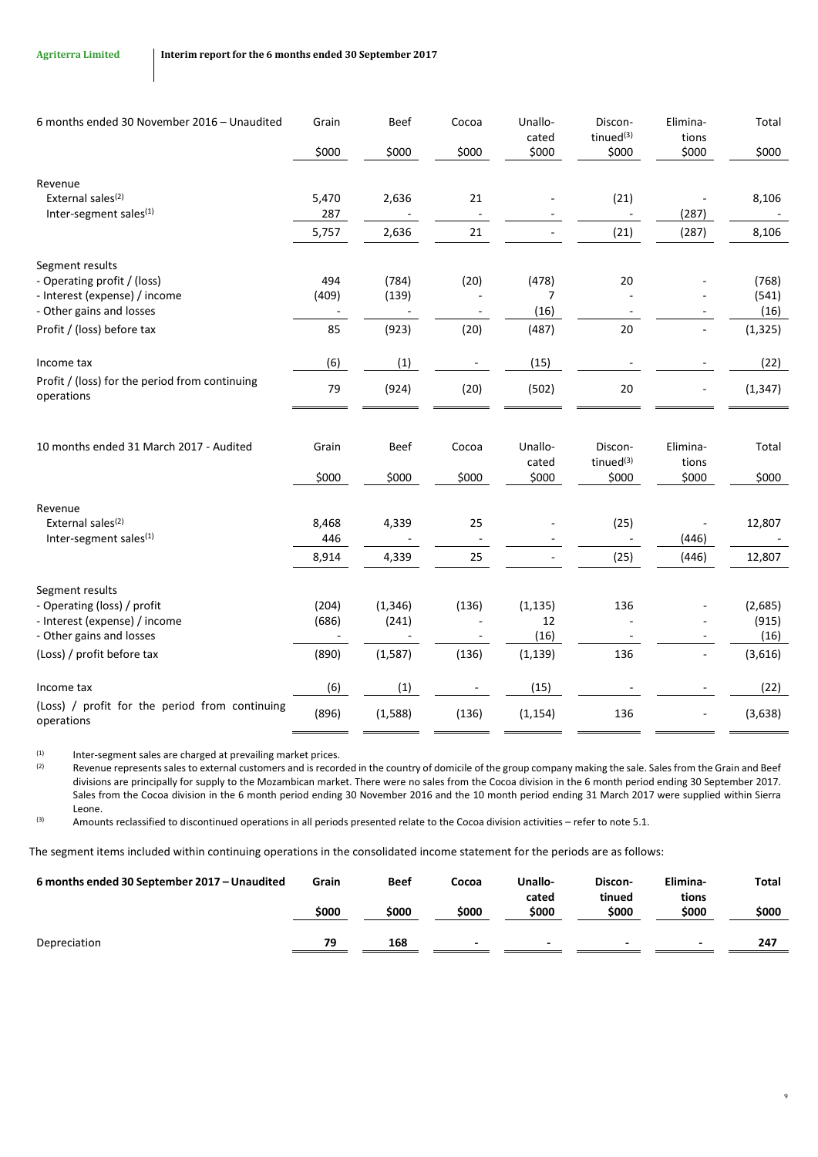| 6 months ended 30 November 2016 - Unaudited                  | Grain                    | Beef     | Cocoa | Unallo-<br>cated | Discon-<br>tinued <sup>(3)</sup> | Elimina-<br>tions        | Total    |
|--------------------------------------------------------------|--------------------------|----------|-------|------------------|----------------------------------|--------------------------|----------|
|                                                              | \$000                    | \$000    | \$000 | \$000            | \$000                            | \$000                    | \$000    |
| Revenue                                                      |                          |          |       |                  |                                  |                          |          |
| External sales <sup>(2)</sup>                                | 5,470                    | 2,636    | 21    |                  | (21)                             |                          | 8,106    |
| Inter-segment sales <sup>(1)</sup>                           | 287                      |          |       |                  |                                  | (287)                    |          |
|                                                              | 5,757                    | 2,636    | 21    |                  | (21)                             | (287)                    | 8,106    |
| Segment results                                              |                          |          |       |                  |                                  |                          |          |
| - Operating profit / (loss)                                  | 494                      | (784)    | (20)  | (478)            | 20                               |                          | (768)    |
| - Interest (expense) / income                                | (409)                    | (139)    |       | 7                |                                  |                          | (541)    |
| - Other gains and losses                                     | $\overline{\phantom{a}}$ |          |       | (16)             |                                  |                          | (16)     |
| Profit / (loss) before tax                                   | 85                       | (923)    | (20)  | (487)            | 20                               | $\overline{\phantom{a}}$ | (1, 325) |
| Income tax                                                   | (6)                      | (1)      |       | (15)             |                                  |                          | (22)     |
| Profit / (loss) for the period from continuing<br>operations | 79                       | (924)    | (20)  | (502)            | 20                               |                          | (1, 347) |
| 10 months ended 31 March 2017 - Audited                      | Grain                    | Beef     | Cocoa | Unallo-          | Discon-                          | Elimina-                 | Total    |
|                                                              |                          |          |       | cated            | tinue $d^{(3)}$                  | tions                    |          |
|                                                              | \$000                    | \$000    | \$000 | \$000            | \$000                            | \$000                    | \$000    |
| Revenue                                                      |                          |          |       |                  |                                  |                          |          |
| External sales <sup>(2)</sup>                                | 8,468                    | 4,339    | 25    |                  | (25)                             |                          | 12,807   |
| Inter-segment sales <sup>(1)</sup>                           | 446                      |          |       |                  |                                  | (446)                    |          |
|                                                              | 8,914                    | 4,339    | 25    |                  | (25)                             | (446)                    | 12,807   |
| Segment results                                              |                          |          |       |                  |                                  |                          |          |
| - Operating (loss) / profit                                  | (204)                    | (1, 346) | (136) | (1, 135)         | 136                              |                          | (2,685)  |
| - Interest (expense) / income                                | (686)                    | (241)    |       | 12               |                                  |                          | (915)    |
| - Other gains and losses                                     | ÷,                       |          |       | (16)             |                                  |                          | (16)     |
| (Loss) / profit before tax                                   | (890)                    | (1, 587) | (136) | (1, 139)         | 136                              |                          | (3,616)  |
| Income tax                                                   | (6)                      | (1)      |       | (15)             |                                  |                          | (22)     |
| (Loss) / profit for the period from continuing<br>operations | (896)                    | (1,588)  | (136) | (1, 154)         | 136                              |                          | (3,638)  |

(1) Inter-segment sales are charged at prevailing market prices.<br>(2) Revenue represents sales to external customers and is record

Revenue represents sales to external customers and is recorded in the country of domicile of the group company making the sale. Sales from the Grain and Beef divisions are principally for supply to the Mozambican market. There were no sales from the Cocoa division in the 6 month period ending 30 September 2017. Sales from the Cocoa division in the 6 month period ending 30 November 2016 and the 10 month period ending 31 March 2017 were supplied within Sierra Leone.

(3) Amounts reclassified to discontinued operations in all periods presented relate to the Cocoa division activities – refer to not[e 5.1.](#page-10-2)

The segment items included within continuing operations in the consolidated income statement for the periods are as follows:

| 6 months ended 30 September 2017 - Unaudited | Grain | <b>Beef</b> | Cocoa | Unallo-<br>cated         | Discon-<br>tinued        | Elimina-<br>tions        | Total |
|----------------------------------------------|-------|-------------|-------|--------------------------|--------------------------|--------------------------|-------|
|                                              | \$000 | \$000       | \$000 | \$000                    | \$000                    | \$000                    | \$000 |
| Depreciation                                 | 79    | 168         | -     | $\overline{\phantom{0}}$ | $\overline{\phantom{0}}$ | $\overline{\phantom{0}}$ | 247   |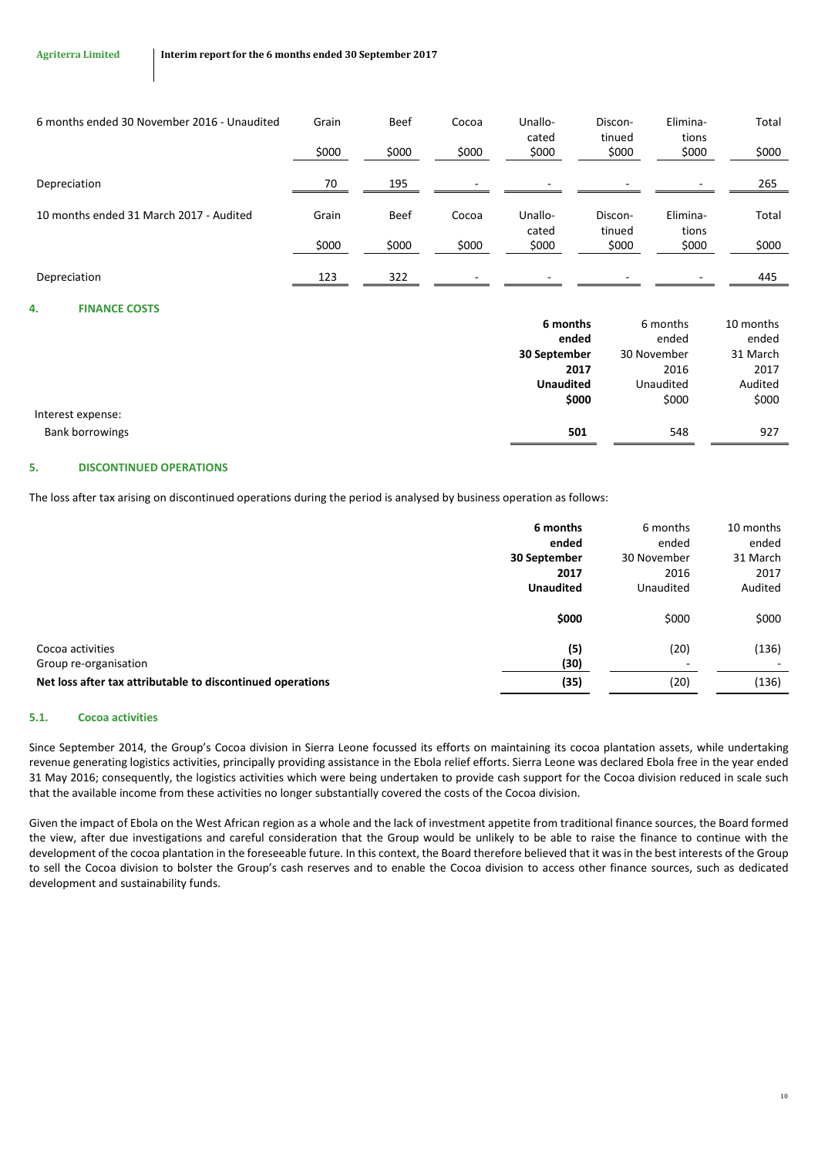| 6 months ended 30 November 2016 - Unaudited | Grain | <b>Beef</b> | Cocoa | Unallo-<br>cated         | Discon-<br>tinued | Elimina-<br>tions        | Total |
|---------------------------------------------|-------|-------------|-------|--------------------------|-------------------|--------------------------|-------|
|                                             | \$000 | \$000       | \$000 | \$000                    | \$000             | \$000                    | \$000 |
| Depreciation                                | 70    | 195         | -     | $\overline{\phantom{0}}$ |                   | ۰                        | 265   |
| 10 months ended 31 March 2017 - Audited     | Grain | <b>Beef</b> | Cocoa | Unallo-<br>cated         | Discon-<br>tinued | Elimina-<br>tions        | Total |
|                                             | \$000 | \$000       | \$000 | \$000                    | \$000             | \$000                    | \$000 |
| Depreciation                                | 123   | 322         | -     | -                        |                   | $\overline{\phantom{0}}$ | 445   |

## <span id="page-10-0"></span>**4. FINANCE COSTS**

|                        | 6 months         | 6 months    | 10 months |
|------------------------|------------------|-------------|-----------|
|                        | ended            | ended       | ended     |
|                        | 30 September     | 30 November | 31 March  |
|                        | 2017             | 2016        | 2017      |
|                        | <b>Unaudited</b> | Unaudited   | Audited   |
|                        | \$000            | \$000       | \$000     |
| Interest expense:      |                  |             |           |
| <b>Bank borrowings</b> | 501              | 548         | 927       |
|                        |                  |             |           |

# <span id="page-10-1"></span>**5. DISCONTINUED OPERATIONS**

The loss after tax arising on discontinued operations during the period is analysed by business operation as follows:

|                                                            | 6 months<br>ended<br>30 September<br>2017<br><b>Unaudited</b> | 6 months<br>ended<br>30 November<br>2016<br>Unaudited | 10 months<br>ended<br>31 March<br>2017<br>Audited |
|------------------------------------------------------------|---------------------------------------------------------------|-------------------------------------------------------|---------------------------------------------------|
|                                                            | \$000                                                         | \$000                                                 | \$000                                             |
| Cocoa activities<br>Group re-organisation                  | (5)<br>(30)                                                   | (20)                                                  | (136)                                             |
| Net loss after tax attributable to discontinued operations | (35)                                                          | (20)                                                  | (136)                                             |

# <span id="page-10-2"></span>**5.1. Cocoa activities**

Since September 2014, the Group's Cocoa division in Sierra Leone focussed its efforts on maintaining its cocoa plantation assets, while undertaking revenue generating logistics activities, principally providing assistance in the Ebola relief efforts. Sierra Leone was declared Ebola free in the year ended 31 May 2016; consequently, the logistics activities which were being undertaken to provide cash support for the Cocoa division reduced in scale such that the available income from these activities no longer substantially covered the costs of the Cocoa division.

Given the impact of Ebola on the West African region as a whole and the lack of investment appetite from traditional finance sources, the Board formed the view, after due investigations and careful consideration that the Group would be unlikely to be able to raise the finance to continue with the development of the cocoa plantation in the foreseeable future. In this context, the Board therefore believed that it was in the best interests of the Group to sell the Cocoa division to bolster the Group's cash reserves and to enable the Cocoa division to access other finance sources, such as dedicated development and sustainability funds.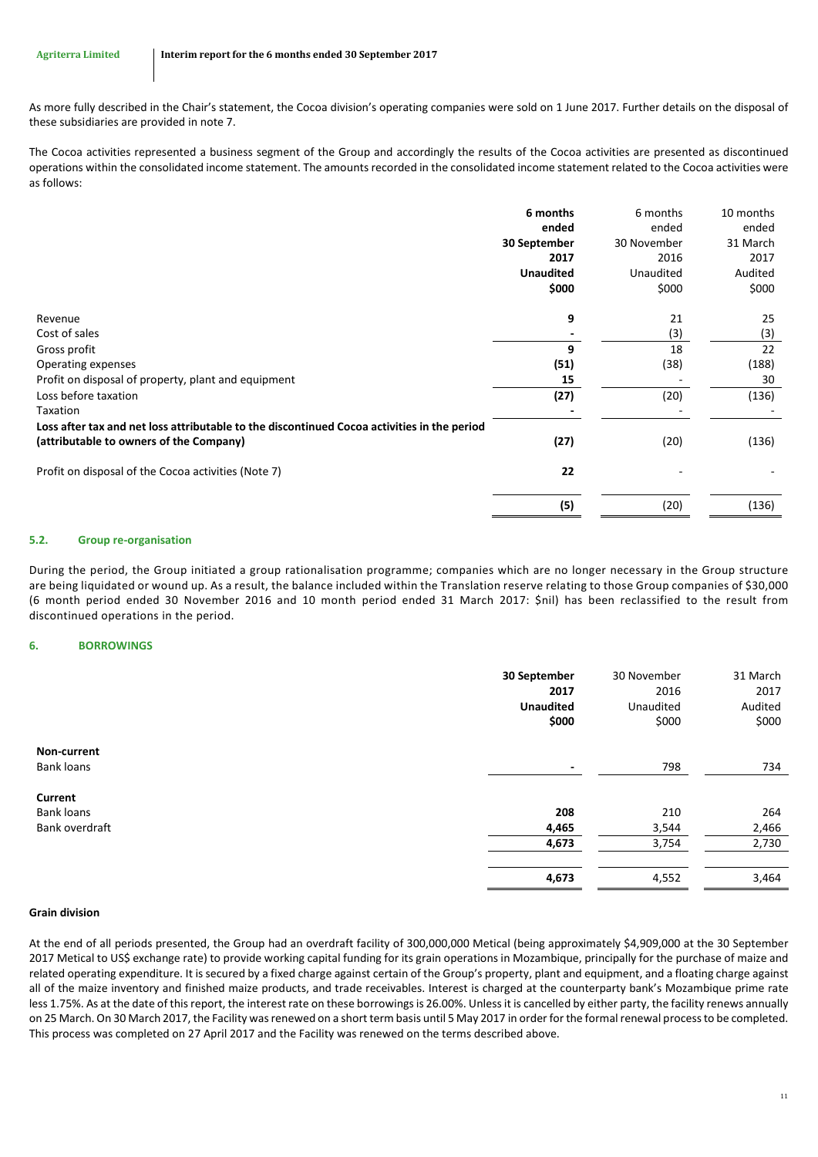As more fully described in the Chair's statement, the Cocoa division's operating companies were sold on 1 June 2017. Further details on the disposal of these subsidiaries are provided in note [7.](#page-12-0)

The Cocoa activities represented a business segment of the Group and accordingly the results of the Cocoa activities are presented as discontinued operations within the consolidated income statement. The amounts recorded in the consolidated income statement related to the Cocoa activities were as follows:

|                                                                                             | 6 months         | 6 months    | 10 months |
|---------------------------------------------------------------------------------------------|------------------|-------------|-----------|
|                                                                                             | ended            | ended       | ended     |
|                                                                                             | 30 September     | 30 November | 31 March  |
|                                                                                             | 2017             | 2016        | 2017      |
|                                                                                             | <b>Unaudited</b> | Unaudited   | Audited   |
|                                                                                             | \$000            | \$000       | \$000     |
| Revenue                                                                                     | 9                | 21          | 25        |
| Cost of sales                                                                               |                  | (3)         | (3)       |
| Gross profit                                                                                | 9                | 18          | 22        |
| Operating expenses                                                                          | (51)             | (38)        | (188)     |
| Profit on disposal of property, plant and equipment                                         | 15               |             | 30        |
| Loss before taxation                                                                        | (27)             | (20)        | (136)     |
| Taxation                                                                                    |                  |             |           |
| Loss after tax and net loss attributable to the discontinued Cocoa activities in the period |                  |             |           |
| (attributable to owners of the Company)                                                     | (27)             | (20)        | (136)     |
| Profit on disposal of the Cocoa activities (Note 7)                                         | 22               |             |           |
|                                                                                             | (5)              | (20)        | (136)     |

# **5.2. Group re-organisation**

During the period, the Group initiated a group rationalisation programme; companies which are no longer necessary in the Group structure are being liquidated or wound up. As a result, the balance included within the Translation reserve relating to those Group companies of \$30,000 (6 month period ended 30 November 2016 and 10 month period ended 31 March 2017: \$nil) has been reclassified to the result from discontinued operations in the period.

# <span id="page-11-0"></span>**6. BORROWINGS**

|                                                | 30 September<br>2017<br><b>Unaudited</b><br>\$000 | 30 November<br>2016<br>Unaudited<br>\$000 | 31 March<br>2017<br>Audited<br>\$000 |
|------------------------------------------------|---------------------------------------------------|-------------------------------------------|--------------------------------------|
| Non-current<br><b>Bank loans</b>               | ۰                                                 | 798                                       | 734                                  |
| Current<br><b>Bank loans</b><br>Bank overdraft | 208<br>4,465                                      | 210<br>3,544                              | 264<br>2,466                         |
|                                                | 4,673                                             | 3,754                                     | 2,730                                |
|                                                | 4,673                                             | 4,552                                     | 3,464                                |

## **Grain division**

At the end of all periods presented, the Group had an overdraft facility of 300,000,000 Metical (being approximately \$4,909,000 at the 30 September 2017 Metical to US\$ exchange rate) to provide working capital funding for its grain operations in Mozambique, principally for the purchase of maize and related operating expenditure. It is secured by a fixed charge against certain of the Group's property, plant and equipment, and a floating charge against all of the maize inventory and finished maize products, and trade receivables. Interest is charged at the counterparty bank's Mozambique prime rate less 1.75%. As at the date of this report, the interest rate on these borrowings is 26.00%. Unless it is cancelled by either party, the facility renews annually on 25 March. On 30 March 2017, the Facility was renewed on a short term basis until 5 May 2017 in order for the formal renewal process to be completed. This process was completed on 27 April 2017 and the Facility was renewed on the terms described above.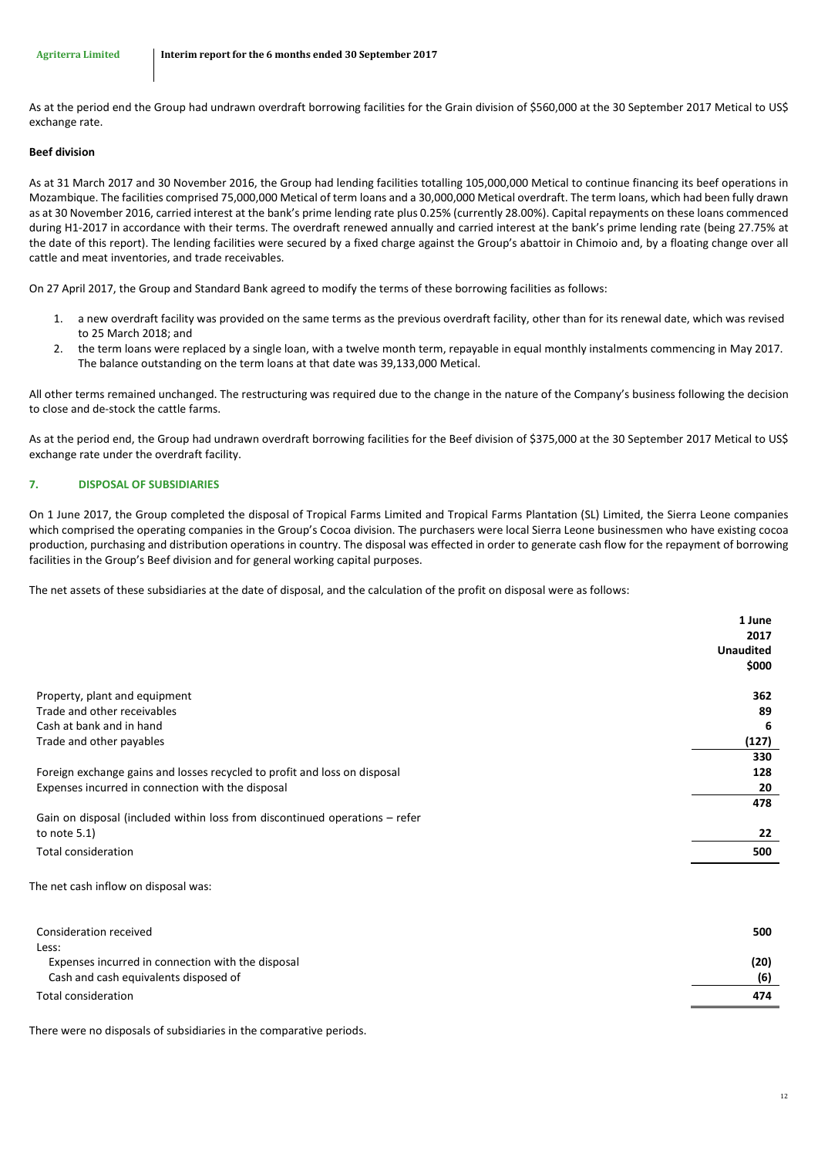As at the period end the Group had undrawn overdraft borrowing facilities for the Grain division of \$560,000 at the 30 September 2017 Metical to US\$ exchange rate.

### **Beef division**

As at 31 March 2017 and 30 November 2016, the Group had lending facilities totalling 105,000,000 Metical to continue financing its beef operations in Mozambique. The facilities comprised 75,000,000 Metical of term loans and a 30,000,000 Metical overdraft. The term loans, which had been fully drawn as at 30 November 2016, carried interest at the bank's prime lending rate plus 0.25% (currently 28.00%). Capital repayments on these loans commenced during H1-2017 in accordance with their terms. The overdraft renewed annually and carried interest at the bank's prime lending rate (being 27.75% at the date of this report). The lending facilities were secured by a fixed charge against the Group's abattoir in Chimoio and, by a floating change over all cattle and meat inventories, and trade receivables.

On 27 April 2017, the Group and Standard Bank agreed to modify the terms of these borrowing facilities as follows:

- 1. a new overdraft facility was provided on the same terms as the previous overdraft facility, other than for its renewal date, which was revised to 25 March 2018; and
- 2. the term loans were replaced by a single loan, with a twelve month term, repayable in equal monthly instalments commencing in May 2017. The balance outstanding on the term loans at that date was 39,133,000 Metical.

All other terms remained unchanged. The restructuring was required due to the change in the nature of the Company's business following the decision to close and de-stock the cattle farms.

As at the period end, the Group had undrawn overdraft borrowing facilities for the Beef division of \$375,000 at the 30 September 2017 Metical to US\$ exchange rate under the overdraft facility.

### <span id="page-12-0"></span>**7. DISPOSAL OF SUBSIDIARIES**

On 1 June 2017, the Group completed the disposal of Tropical Farms Limited and Tropical Farms Plantation (SL) Limited, the Sierra Leone companies which comprised the operating companies in the Group's Cocoa division. The purchasers were local Sierra Leone businessmen who have existing cocoa production, purchasing and distribution operations in country. The disposal was effected in order to generate cash flow for the repayment of borrowing facilities in the Group's Beef division and for general working capital purposes.

The net assets of these subsidiaries at the date of disposal, and the calculation of the profit on disposal were as follows:

|                                                                             | 1 June                   |
|-----------------------------------------------------------------------------|--------------------------|
|                                                                             | 2017<br><b>Unaudited</b> |
|                                                                             |                          |
|                                                                             | \$000                    |
| Property, plant and equipment                                               | 362                      |
| Trade and other receivables                                                 | 89                       |
| Cash at bank and in hand                                                    | 6                        |
| Trade and other payables                                                    | (127)                    |
|                                                                             | 330                      |
| Foreign exchange gains and losses recycled to profit and loss on disposal   | 128                      |
| Expenses incurred in connection with the disposal                           | 20                       |
|                                                                             | 478                      |
| Gain on disposal (included within loss from discontinued operations – refer |                          |
| to note $5.1$ )                                                             | 22                       |
| <b>Total consideration</b>                                                  | 500                      |
|                                                                             |                          |
| The net cash inflow on disposal was:                                        |                          |
|                                                                             |                          |
|                                                                             |                          |

| Consideration received                            | 500  |
|---------------------------------------------------|------|
| Less:                                             |      |
| Expenses incurred in connection with the disposal | (20) |
| Cash and cash equivalents disposed of             | (6)  |
| Total consideration                               | 474  |
|                                                   |      |

There were no disposals of subsidiaries in the comparative periods.